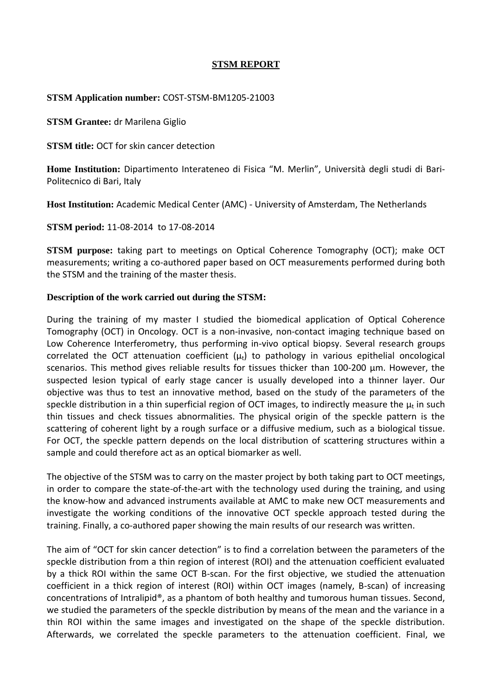# **STSM REPORT**

### **STSM Application number:** COST-STSM-BM1205-21003

**STSM Grantee:** dr Marilena Giglio

**STSM title:** OCT for skin cancer detection

**Home Institution:** Dipartimento Interateneo di Fisica "M. Merlin", Università degli studi di Bari-Politecnico di Bari, Italy

**Host Institution:** Academic Medical Center (AMC) - University of Amsterdam, The Netherlands

**STSM period:** 11-08-2014 to 17-08-2014

**STSM purpose:** taking part to meetings on Optical Coherence Tomography (OCT); make OCT measurements; writing a co-authored paper based on OCT measurements performed during both the STSM and the training of the master thesis.

### **Description of the work carried out during the STSM:**

During the training of my master I studied the biomedical application of Optical Coherence Tomography (OCT) in Oncology. OCT is a non-invasive, non-contact imaging technique based on Low Coherence Interferometry, thus performing in-vivo optical biopsy. Several research groups correlated the OCT attenuation coefficient  $(\mu_t)$  to pathology in various epithelial oncological scenarios. This method gives reliable results for tissues thicker than 100-200 µm. However, the suspected lesion typical of early stage cancer is usually developed into a thinner layer. Our objective was thus to test an innovative method, based on the study of the parameters of the speckle distribution in a thin superficial region of OCT images, to indirectly measure the  $\mu_t$  in such thin tissues and check tissues abnormalities. The physical origin of the speckle pattern is the scattering of coherent light by a rough surface or a diffusive medium, such as a biological tissue. For OCT, the speckle pattern depends on the local distribution of scattering structures within a sample and could therefore act as an optical biomarker as well.

The objective of the STSM was to carry on the master project by both taking part to OCT meetings, in order to compare the state-of-the-art with the technology used during the training, and using the know-how and advanced instruments available at AMC to make new OCT measurements and investigate the working conditions of the innovative OCT speckle approach tested during the training. Finally, a co-authored paper showing the main results of our research was written.

The aim of "OCT for skin cancer detection" is to find a correlation between the parameters of the speckle distribution from a thin region of interest (ROI) and the attenuation coefficient evaluated by a thick ROI within the same OCT B-scan. For the first objective, we studied the attenuation coefficient in a thick region of interest (ROI) within OCT images (namely, B-scan) of increasing concentrations of Intralipid®, as a phantom of both healthy and tumorous human tissues. Second, we studied the parameters of the speckle distribution by means of the mean and the variance in a thin ROI within the same images and investigated on the shape of the speckle distribution. Afterwards, we correlated the speckle parameters to the attenuation coefficient. Final, we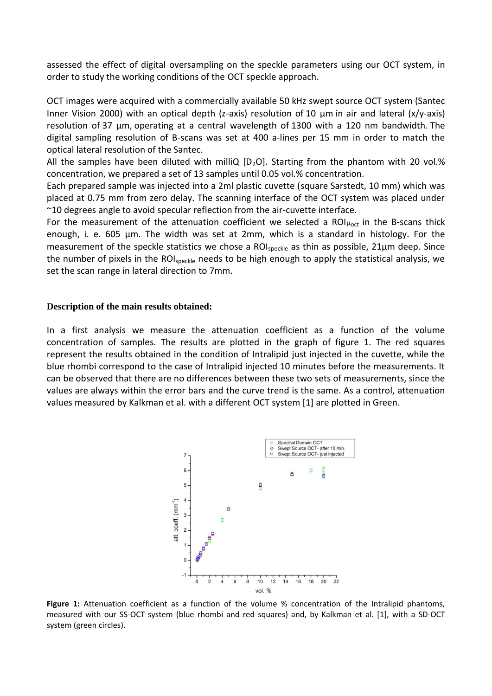assessed the effect of digital oversampling on the speckle parameters using our OCT system, in order to study the working conditions of the OCT speckle approach.

OCT images were acquired with a commercially available 50 kHz swept source OCT system (Santec Inner Vision 2000) with an optical depth (z-axis) resolution of 10  μm in air and lateral (x/y-axis) resolution of 37  μm, operating at a central wavelength of 1300 with a 120  nm bandwidth. The digital sampling resolution of B-scans was set at 400 a-lines per 15 mm in order to match the optical lateral resolution of the Santec.

All the samples have been diluted with milliQ  $[D_2O]$ . Starting from the phantom with 20 vol.% concentration, we prepared a set of 13 samples until 0.05 vol.% concentration.

Each prepared sample was injected into a 2ml plastic cuvette (square Sarstedt, 10 mm) which was placed at 0.75 mm from zero delay. The scanning interface of the OCT system was placed under ~10 degrees angle to avoid specular reflection from the air-cuvette interface.

For the measurement of the attenuation coefficient we selected a ROI $\mu_{oct}$  in the B-scans thick enough, i. e. 605 µm. The width was set at 2mm, which is a standard in histology. For the measurement of the speckle statistics we chose a ROI<sub>speckle</sub> as thin as possible, 21µm deep. Since the number of pixels in the ROI<sub>speckle</sub> needs to be high enough to apply the statistical analysis, we set the scan range in lateral direction to 7mm.

#### **Description of the main results obtained:**

In a first analysis we measure the attenuation coefficient as a function of the volume concentration of samples. The results are plotted in the graph of figure 1. The red squares represent the results obtained in the condition of Intralipid just injected in the cuvette, while the blue rhombi correspond to the case of Intralipid injected 10 minutes before the measurements. It can be observed that there are no differences between these two sets of measurements, since the values are always within the error bars and the curve trend is the same. As a control, attenuation values measured by Kalkman et al. with a different OCT system [1] are plotted in Green.



Figure 1: Attenuation coefficient as a function of the volume % concentration of the Intralipid phantoms, measured with our SS-OCT system (blue rhombi and red squares) and, by Kalkman et al. [1], with a SD-OCT system (green circles).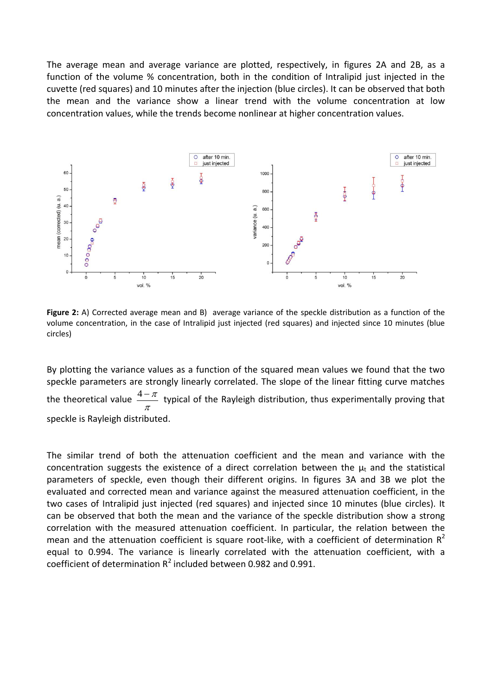The average mean and average variance are plotted, respectively, in figures 2A and 2B, as a function of the volume % concentration, both in the condition of Intralipid just injected in the cuvette (red squares) and 10 minutes after the injection (blue circles). It can be observed that both the mean and the variance show a linear trend with the volume concentration at low concentration values, while the trends become nonlinear at higher concentration values.



**Figure 2:** A) Corrected average mean and B) average variance of the speckle distribution as a function of the volume concentration, in the case of Intralipid just injected (red squares) and injected since 10 minutes (blue circles)

By plotting the variance values as a function of the squared mean values we found that the two speckle parameters are strongly linearly correlated. The slope of the linear fitting curve matches the theoretical value  $\frac{1}{\pi}$  $\frac{4-\pi}{4}$  typical of the Rayleigh distribution, thus experimentally proving that speckle is Rayleigh distributed.

The similar trend of both the attenuation coefficient and the mean and variance with the concentration suggests the existence of a direct correlation between the  $\mu_t$  and the statistical parameters of speckle, even though their different origins. In figures 3A and 3B we plot the evaluated and corrected mean and variance against the measured attenuation coefficient, in the two cases of Intralipid just injected (red squares) and injected since 10 minutes (blue circles). It can be observed that both the mean and the variance of the speckle distribution show a strong correlation with the measured attenuation coefficient. In particular, the relation between the mean and the attenuation coefficient is square root-like, with a coefficient of determination  $R^2$ equal to 0.994. The variance is linearly correlated with the attenuation coefficient, with a coefficient of determination  $R^2$  included between 0.982 and 0.991.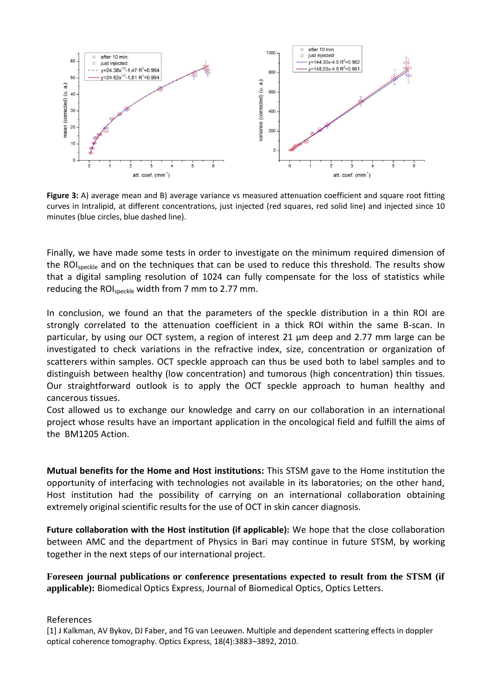

**Figure 3:** A) average mean and B) average variance vs measured attenuation coefficient and square root fitting curves in Intralipid, at different concentrations, just injected (red squares, red solid line) and injected since 10 minutes (blue circles, blue dashed line).

Finally, we have made some tests in order to investigate on the minimum required dimension of the ROI<sub>speckle</sub> and on the techniques that can be used to reduce this threshold. The results show that a digital sampling resolution of 1024 can fully compensate for the loss of statistics while reducing the ROI<sub>speckle</sub> width from 7 mm to 2.77 mm.

In conclusion, we found an that the parameters of the speckle distribution in a thin ROI are strongly correlated to the attenuation coefficient in a thick ROI within the same B-scan. In particular, by using our OCT system, a region of interest 21 µm deep and 2.77 mm large can be investigated to check variations in the refractive index, size, concentration or organization of scatterers within samples. OCT speckle approach can thus be used both to label samples and to distinguish between healthy (low concentration) and tumorous (high concentration) thin tissues. Our straightforward outlook is to apply the OCT speckle approach to human healthy and cancerous tissues.

Cost allowed us to exchange our knowledge and carry on our collaboration in an international project whose results have an important application in the oncological field and fulfill the aims of the BM1205 Action.

**Mutual benefits for the Home and Host institutions:** This STSM gave to the Home institution the opportunity of interfacing with technologies not available in its laboratories; on the other hand, Host institution had the possibility of carrying on an international collaboration obtaining extremely original scientific results for the use of OCT in skin cancer diagnosis.

**Future collaboration with the Host institution (if applicable):** We hope that the close collaboration between AMC and the department of Physics in Bari may continue in future STSM, by working together in the next steps of our international project.

**Foreseen journal publications or conference presentations expected to result from the STSM (if applicable):** Biomedical Optics Express, Journal of Biomedical Optics, Optics Letters.

### References

[1] J Kalkman, AV Bykov, DJ Faber, and TG van Leeuwen. Multiple and dependent scattering effects in doppler optical coherence tomography. Optics Express, 18(4):3883–3892, 2010.